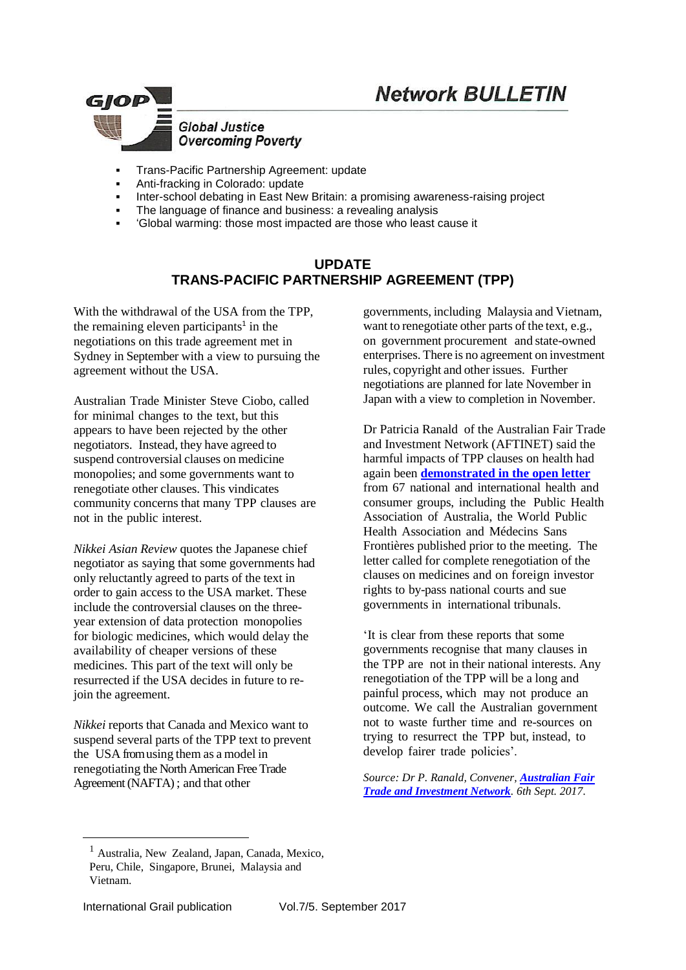

- Trans-Pacific Partnership Agreement: update
- Anti-fracking in Colorado: update
- Inter-school debating in East New Britain: a promising awareness-raising project
- The language of finance and business: a revealing analysis
- 'Global warming: those most impacted are those who least cause it

#### **UPDATE TRANS-PACIFIC PARTNERSHIP AGREEMENT (TPP)**

With the withdrawal of the USA from the TPP, the remaining eleven participants<sup>1</sup> in the negotiations on this trade agreement met in Sydney in September with a view to pursuing the agreement without the USA.

Australian Trade Minister Steve Ciobo, called for [minimal](http://trademinister.gov.au/transcripts/Pages/2017/sc_tr_170823.aspx) changes to the text, but this appears to have been rejected by the other negotiators. Instead, they have agreed to suspend controversial clauses on medicine monopolies; and some governments want to renegotiate other clauses. This vindicates community concerns that many TPP clauses are not in the public interest.

*Nikkei Asian [Review](https://asia.nikkei.com/Politics-Economy/International-Relations/TPP-11-to-freeze-drug-data-protection-demanded-by-US?n_cid=NARAN012)* quotes the Japanese chief negotiator as saying that some governments had only reluctantly agreed to parts of the text in order to gain access to the USA market. These include the controversial clauses on the threeyear extension of data protection monopolies for biologic medicines, which would delay the availability of cheaper versions of these medicines. This part of the text will only be resurrected if the USA decides in future to rejoin the agreement.

*Nikkei* reports that Canada and Mexico want to suspend several parts of the TPP text to prevent the USA from using them as a model in renegotiating the North American Free Trade Agreement (NAFTA) ; and that other

governments, including Malaysia and Vietnam, want to renegotiate other parts of the text, e.g., on government procurement and state-owned enterprises. There is no agreement on investment rules, copyright and other issues. Further negotiations are planned for late November in Japan with a view to completion in November.

Dr Patricia Ranald of the Australian Fair Trade and Investment Network (AFTINET) said the harmful impacts of TPP clauses on health had again been **[demonstrated](http://aftinet.org.au/cms/node/1468) in the open letter** from 67 national and international health and consumer groups, including the Public Health Association of Australia, the World Public Health Association and Médecins Sans Frontières published prior to the meeting. The letter called for complete renegotiation of the clauses on medicines and on foreign investor rights to by-pass national courts and sue governments in international tribunals.

'It is clear from these reports that some governments recognise that many clauses in the TPP are not in their national interests. Any renegotiation of the TPP will be a long and painful process, which may not produce an outcome. We call the Australian government not to waste further time and re-sources on trying to resurrect the TPP but, instead, to develop fairer trade policies'.

*Source: Dr P. Ranald, Convener, [Australian Fair](http://www.aftinet.org.au/)  [Trade and Investment Network](http://www.aftinet.org.au/). 6th Sept. 2017.*

<u>.</u>

<sup>1</sup> Australia, New Zealand, Japan, Canada, Mexico, Peru, Chile, Singapore, Brunei, Malaysia and Vietnam.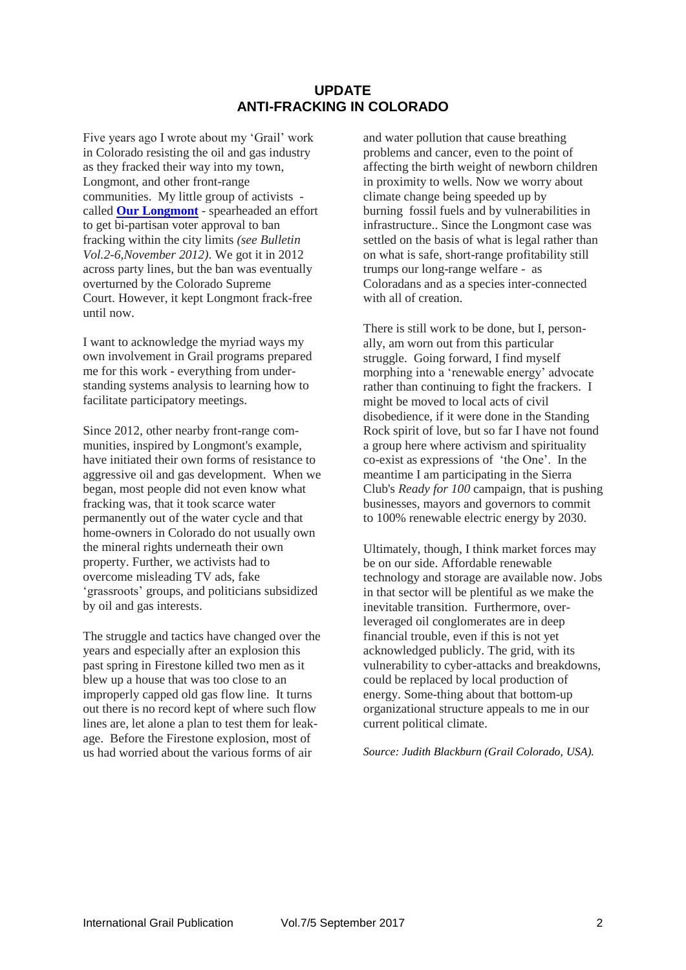#### **UPDATE ANTI-FRACKING IN COLORADO**

Five years ago I wrote about my 'Grail' work in Colorado resisting the oil and gas industry as they fracked their way into my town, Longmont, and other front-range communities. My little group of activists called **[Our Longmont](http://ourlongmont.org/)** - spearheaded an effort to get bi-partisan voter approval to ban fracking within the city limits *(see Bulletin Vol.2-6,November 2012)*. We got it in 2012 across party lines, but the ban was eventually overturned by the Colorado Supreme Court. However, it kept Longmont frack-free until now.

I want to acknowledge the myriad ways my own involvement in Grail programs prepared me for this work - everything from understanding systems analysis to learning how to facilitate participatory meetings.

Since 2012, other nearby front-range communities, inspired by Longmont's example, have initiated their own forms of resistance to aggressive oil and gas development. When we began, most people did not even know what fracking was, that it took scarce water permanently out of the water cycle and that home-owners in Colorado do not usually own the mineral rights underneath their own property. Further, we activists had to overcome misleading TV ads, fake 'grassroots' groups, and politicians subsidized by oil and gas interests.

The struggle and tactics have changed over the years and especially after an explosion this past spring in Firestone killed two men as it blew up a house that was too close to an improperly capped old gas flow line. It turns out there is no record kept of where such flow lines are, let alone a plan to test them for leakage. Before the Firestone explosion, most of us had worried about the various forms of air

and water pollution that cause breathing problems and cancer, even to the point of affecting the birth weight of newborn children in proximity to wells. Now we worry about climate change being speeded up by burning fossil fuels and by vulnerabilities in infrastructure.. Since the Longmont case was settled on the basis of what is legal rather than on what is safe, short-range profitability still trumps our long-range welfare - as Coloradans and as a species inter-connected with all of creation.

There is still work to be done, but I, personally, am worn out from this particular struggle. Going forward, I find myself morphing into a 'renewable energy' advocate rather than continuing to fight the frackers. I might be moved to local acts of civil disobedience, if it were done in the Standing Rock spirit of love, but so far I have not found a group here where activism and spirituality co-exist as expressions of 'the One'. In the meantime I am participating in the Sierra Club's *Ready for 100* campaign, that is pushing businesses, mayors and governors to commit to 100% renewable electric energy by 2030.

Ultimately, though, I think market forces may be on our side. Affordable renewable technology and storage are available now. Jobs in that sector will be plentiful as we make the inevitable transition. Furthermore, overleveraged oil conglomerates are in deep financial trouble, even if this is not yet acknowledged publicly. The grid, with its vulnerability to cyber-attacks and breakdowns, could be replaced by local production of energy. Some-thing about that bottom-up organizational structure appeals to me in our current political climate.

*Source: Judith Blackburn (Grail Colorado, USA).*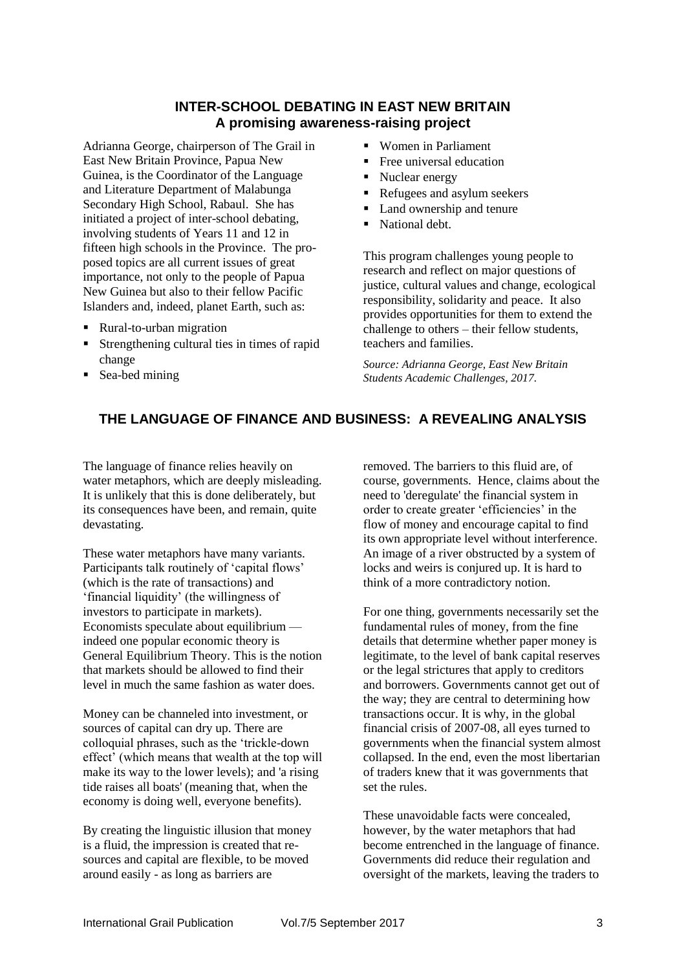### **INTER-SCHOOL DEBATING IN EAST NEW BRITAIN A promising awareness-raising project**

Adrianna George, chairperson of The Grail in East New Britain Province, Papua New Guinea, is the Coordinator of the Language and Literature Department of Malabunga Secondary High School, Rabaul. She has initiated a project of inter-school debating, involving students of Years 11 and 12 in fifteen high schools in the Province. The proposed topics are all current issues of great importance, not only to the people of Papua New Guinea but also to their fellow Pacific Islanders and, indeed, planet Earth, such as:

- Rural-to-urban migration
- Strengthening cultural ties in times of rapid change
- Sea-bed mining
- Women in Parliament
- **Free universal education**
- Nuclear energy
- Refugees and asylum seekers
- Land ownership and tenure
- National debt.

This program challenges young people to research and reflect on major questions of justice, cultural values and change, ecological responsibility, solidarity and peace. It also provides opportunities for them to extend the challenge to others – their fellow students, teachers and families.

*Source: Adrianna George, East New Britain Students Academic Challenges, 2017.*

## **THE LANGUAGE OF FINANCE AND BUSINESS: A REVEALING ANALYSIS**

The language of finance relies heavily on water metaphors, which are deeply misleading. It is unlikely that this is done deliberately, but its consequences have been, and remain, quite devastating.

These water metaphors have many variants. Participants talk routinely of 'capital flows' (which is the rate of transactions) and 'financial liquidity' (the willingness of investors to participate in markets). Economists speculate about equilibrium indeed one popular economic theory is General Equilibrium Theory. This is the notion that markets should be allowed to find their level in much the same fashion as water does.

Money can be channeled into investment, or sources of capital can dry up. There are colloquial phrases, such as the 'trickle-down effect' (which means that wealth at the top will make its way to the lower levels); and 'a rising tide raises all boats' (meaning that, when the economy is doing well, everyone benefits).

By creating the linguistic illusion that money is a fluid, the impression is created that resources and capital are flexible, to be moved around easily - as long as barriers are

removed. The barriers to this fluid are, of course, governments. Hence, claims about the need to 'deregulate' the financial system in order to create greater 'efficiencies' in the flow of money and encourage capital to find its own appropriate level without interference. An image of a river obstructed by a system of locks and weirs is conjured up. It is hard to think of a more contradictory notion.

For one thing, governments necessarily set the fundamental rules of money, from the fine details that determine whether paper money is legitimate, to the level of bank capital reserves or the legal strictures that apply to creditors and borrowers. Governments cannot get out of the way; they are central to determining how transactions occur. It is why, in the global financial crisis of 2007-08, all eyes turned to governments when the financial system almost collapsed. In the end, even the most libertarian of traders knew that it was governments that set the rules.

These unavoidable facts were concealed, however, by the water metaphors that had become entrenched in the language of finance. Governments did reduce their regulation and oversight of the markets, leaving the traders to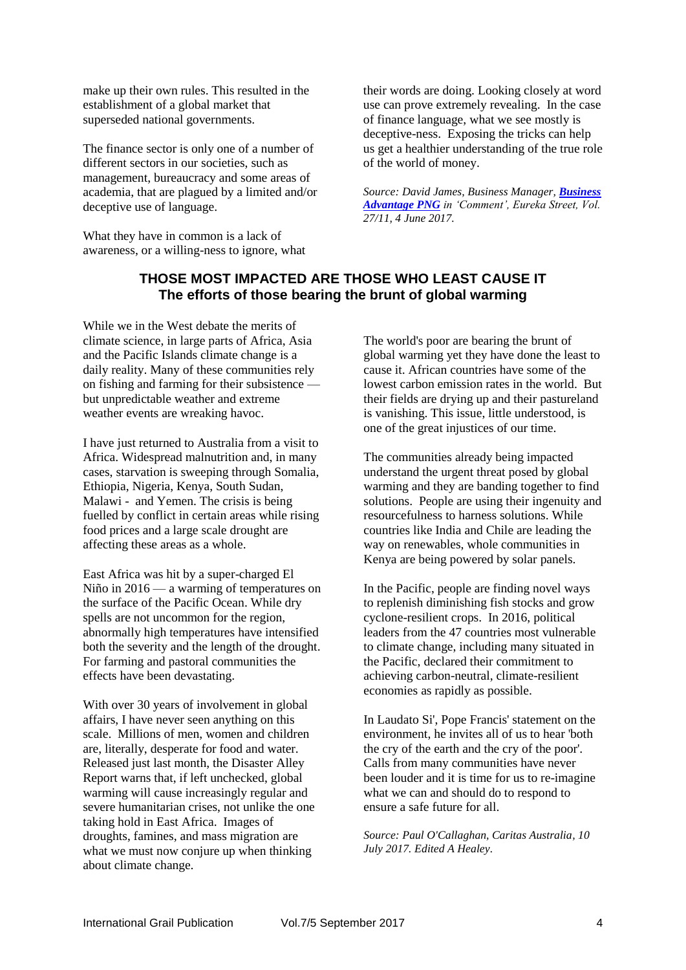make up their own rules. This resulted in the establishment of a global market that superseded national governments.

The finance sector is only one of a number of different sectors in our societies, such as management, bureaucracy and some areas of academia, that are plagued by a limited and/or deceptive use of language.

What they have in common is a lack of awareness, or a willing-ness to ignore, what their words are doing. Looking closely at word use can prove extremely revealing. In the case of finance language, what we see mostly is deceptive-ness. Exposing the tricks can help us get a healthier understanding of the true role of the world of money.

*Source: David James, Business Manager, [Business](http://www.businessadvantagepng.com/)  [Advantage PNG](http://www.businessadvantagepng.com/) in 'Comment', Eureka Street, Vol. 27/11, 4 June 2017.*

### **THOSE MOST IMPACTED ARE THOSE WHO LEAST CAUSE IT The efforts of those bearing the brunt of global warming**

While we in the West debate the merits of climate science, in large parts of Africa, Asia and the Pacific Islands climate change is a daily reality. Many of these communities rely on fishing and farming for their subsistence but unpredictable weather and extreme weather events are wreaking havoc.

I have just returned to Australia from a visit to Africa. Widespread malnutrition and, in many cases, starvation is sweeping through Somalia, Ethiopia, Nigeria, Kenya, South Sudan, Malawi - and Yemen. The crisis is being fuelled by conflict in certain areas while rising food prices and a large scale drought are affecting these areas as a whole.

East Africa was hit by a super-charged El Niño in 2016 — a warming of temperatures on the surface of the Pacific Ocean. While dry spells are not uncommon for the region, abnormally high temperatures have intensified both the severity and the length of the drought. For farming and pastoral communities the effects have been devastating.

With over 30 years of involvement in global affairs, I have never seen anything on this scale. Millions of men, women and children are, literally, desperate for food and water. Released just last month, the Disaster Alley Report warns that, if left unchecked, global warming will cause increasingly regular and severe humanitarian crises, not unlike the one taking hold in East Africa. Images of droughts, famines, and mass migration are what we must now conjure up when thinking about climate change.

The world's poor are bearing the brunt of global warming yet they have done the least to cause it. African countries have some of the lowest carbon emission rates in the world. But their fields are drying up and their pastureland is vanishing. This issue, little understood, is one of the great injustices of our time.

The communities already being impacted understand the urgent threat posed by global warming and they are banding together to find solutions. People are using their ingenuity and resourcefulness to harness solutions. While countries like India and Chile are leading the way on renewables, whole communities in Kenya are being powered by solar panels.

In the Pacific, people are finding novel ways to replenish diminishing fish stocks and grow cyclone-resilient crops. In 2016, political leaders from the 47 countries most vulnerable to climate change, including many situated in the Pacific, declared their commitment to achieving carbon-neutral, climate-resilient economies as rapidly as possible.

In Laudato Si', Pope Francis' statement on the environment, he invites all of us to hear 'both the cry of the earth and the cry of the poor'. Calls from many communities have never been louder and it is time for us to re-imagine what we can and should do to respond to ensure a safe future for all.

*Source: Paul O'Callaghan, Caritas Australia, 10 July 2017. Edited A Healey.*